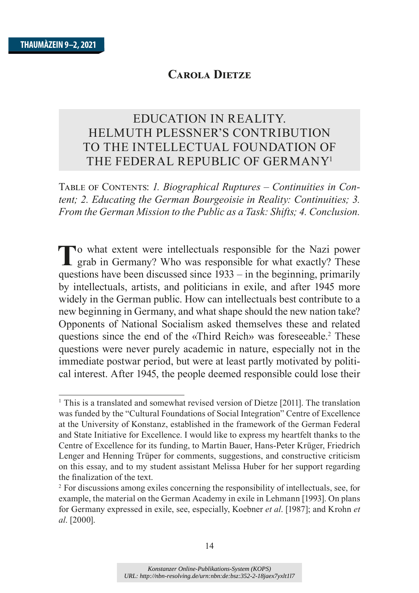# EDUCATION IN REALITY. HELMUTH PLESSNER'S CONTRIBUTION TO THE INTELLECTUAL FOUNDATION OF THE FEDERAL REPUBLIC OF GERMANY<sup>1</sup>

TABLE OF CONTENTS: 1. Biographical Ruptures – Continuities in Con*tent; 2. Educating the German Bourgeoisie in Reality: Continuities; 3. From the German Mission to the Public as a Task: Shifts; 4. Conclusion.*

To what extent were intellectuals responsible for the Nazi power grab in Germany? Who was responsible for what exactly? These questions have been discussed since 1933 – in the beginning, primarily by intellectuals, artists, and politicians in exile, and after 1945 more widely in the German public. How can intellectuals best contribute to a new beginning in Germany, and what shape should the new nation take? Opponents of National Socialism asked themselves these and related questions since the end of the «Third Reich» was foreseeable.<sup>2</sup> These questions were never purely academic in nature, especially not in the immediate postwar period, but were at least partly motivated by political interest. After 1945, the people deemed responsible could lose their

 $1$  This is a translated and somewhat revised version of Dietze [2011]. The translation was funded by the "Cultural Foundations of Social Integration" Centre of Excellence at the University of Konstanz, established in the framework of the German Federal and State Initiative for Excellence. I would like to express my heartfelt thanks to the Centre of Excellence for its funding, to Martin Bauer, Hans-Peter Krüger, Friedrich Lenger and Henning Trüper for comments, suggestions, and constructive criticism on this essay, and to my student assistant Melissa Huber for her support regarding the finalization of the text.

<sup>&</sup>lt;sup>2</sup> For discussions among exiles concerning the responsibility of intellectuals, see, for example, the material on the German Academy in exile in Lehmann [1993]. On plans for Germany expressed in exile, see, especially, Koebner et al. [1987]; and Krohn et *al.* [2000].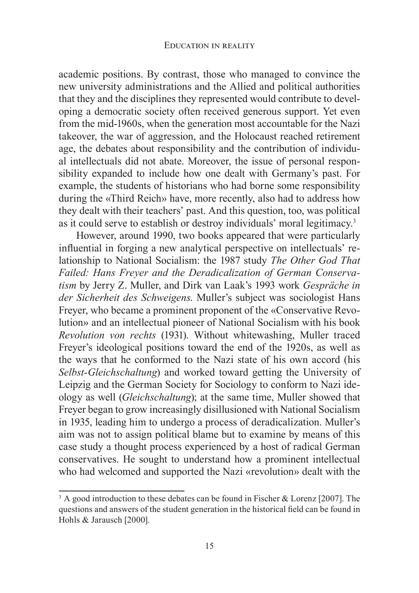academic positions. By contrast, those who managed to convince the new university administrations and the Allied and political authorities that they and the disciplines they represented would contribute to developing a democratic society often received generous support. Yet even from the mid-1960s, when the generation most accountable for the Nazi takeover, the war of aggression, and the Holocaust reached retirement age, the debates about responsibility and the contribution of individual intellectuals did not abate. Moreover, the issue of personal responsibility expanded to include how one dealt with Germany's past. For example, the students of historians who had borne some responsibility during the «Third Reich» have, more recently, also had to address how they dealt with their teachers' past. And this question, too, was political as it could serve to establish or destroy individuals' moral legitimacy.<sup>3</sup>

However, around 1990, two books appeared that were particularly influential in forging a new analytical perspective on intellectuals' relationship to National Socialism: the 1987 study *The Other God That Failed: Hans Freyer and the Deradicalization of German Conservatism* by Jerry Z. Muller, and Dirk van Laak's 1993 work Gespräche in *der Sicherheit des Schweigens.* Muller's subject was sociologist Hans Freyer, who became a prominent proponent of the «Conservative Revolution» and an intellectual pioneer of National Socialism with his book *Revolution von rechts* (1931). Without whitewashing, Muller traced Freyer's ideological positions toward the end of the 1920s, as well as the ways that he conformed to the Nazi state of his own accord (his *Selbst-Gleichschaltung*) and worked toward getting the University of Leipzig and the German Society for Sociology to conform to Nazi ideology as well *(Gleichschaltung*); at the same time, Muller showed that Freyer began to grow increasingly disillusioned with National Socialism in 1935, leading him to undergo a process of deradicalization. Muller's aim was not to assign political blame but to examine by means of this case study a thought process experienced by a host of radical German conservatives. He sought to understand how a prominent intellectual who had welcomed and supported the Nazi «revolution» dealt with the

<sup>&</sup>lt;sup>3</sup> A good introduction to these debates can be found in Fischer & Lorenz [2007]. The questions and answers of the student generation in the historical field can be found in Hohls & Jarausch [2000].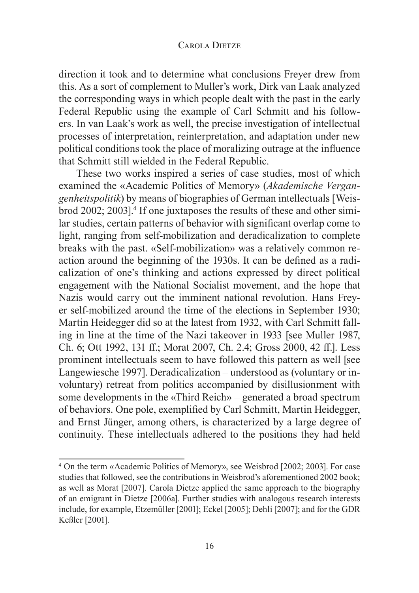direction it took and to determine what conclusions Frever drew from this. As a sort of complement to Muller's work, Dirk van Laak analyzed the corresponding ways in which people dealt with the past in the early Federal Republic using the example of Carl Schmitt and his followers. In van Laak's work as well, the precise investigation of intellectual processes of interpretation, reinterpretation, and adaptation under new political conditions took the place of moralizing outrage at the influence that Schmitt still wielded in the Federal Republic.

These two works inspired a series of case studies, most of which examined the «Academic Politics of Memory» (Akademische Vergangenheitspolitik) by means of biographies of German intellectuals [Weisbrod 2002; 2003].<sup>4</sup> If one juxtaposes the results of these and other similar studies, certain patterns of behavior with significant overlap come to light, ranging from self-mobilization and deradicalization to complete breaks with the past. «Self-mobilization» was a relatively common reaction around the beginning of the 1930s. It can be defined as a radicalization of one's thinking and actions expressed by direct political engagement with the National Socialist movement, and the hope that Nazis would carry out the imminent national revolution. Hans Freyer self-mobilized around the time of the elections in September 1930; Martin Heidegger did so at the latest from 1932, with Carl Schmitt falling in line at the time of the Nazi takeover in 1933 [see Muller 1987, Ch. 6; Ott 1992, 131 ff.; Morat 2007, Ch. 2.4; Gross 2000, 42 ff.]. Less prominent intellectuals seem to have followed this pattern as well [see Langewiesche 1997]. Deradicalization – understood as (voluntary or involuntary) retreat from politics accompanied by disillusionment with some developments in the  $\kappa$ Third Reich $\mathcal{P}$  – generated a broad spectrum of behaviors. One pole, exemplified by Carl Schmitt, Martin Heidegger, and Ernst Jünger, among others, is characterized by a large degree of continuity. These intellectuals adhered to the positions they had held

<sup>&</sup>lt;sup>4</sup> On the term «Academic Politics of Memory», see Weisbrod [2002; 2003]. For case studies that followed, see the contributions in Weisbrod's aforementioned 2002 book; as well as Morat [2007]. Carola Dietze applied the same approach to the biography of an emigrant in Dietze [2006a]. Further studies with analogous research interests include, for example, Etzemüller [2001]; Eckel [2005]; Dehli [2007]; and for the GDR Keßler [2001].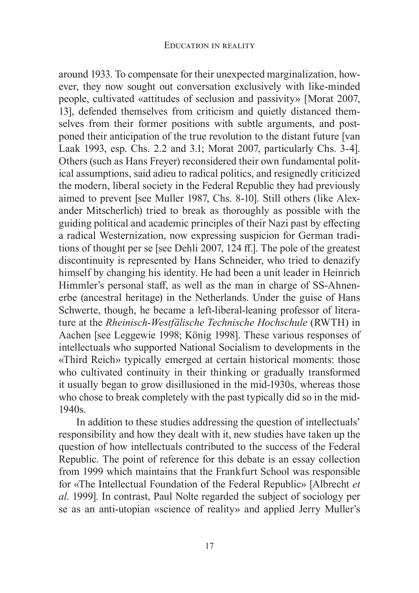around 1933. To compensate for their unexpected marginalization, however, they now sought out conversation exclusively with like-minded people, cultivated «attitudes of seclusion and passivity» [Morat 2007, 13], defended themselves from criticism and quietly distanced themselves from their former positions with subtle arguments, and postponed their anticipation of the true revolution to the distant future [van Laak 1993, esp. Chs. 2.2 and 3.1; Morat 2007, particularly Chs. 3-4]. Others (such as Hans Freyer) reconsidered their own fundamental political assumptions, said adieu to radical politics, and resignedly criticized the modern, liberal society in the Federal Republic they had previously aimed to prevent [see Muller 1987, Chs. 8-10]. Still others (like Alexander Mitscherlich) tried to break as thoroughly as possible with the guiding political and academic principles of their Nazi past by effecting a radical Westernization, now expressing suspicion for German traditions of thought per se [see Dehli 2007, 124 ff.]. The pole of the greatest discontinuity is represented by Hans Schneider, who tried to denazify himself by changing his identity. He had been a unit leader in Heinrich Himmler's personal staff, as well as the man in charge of SS-Ahnenerbe (ancestral heritage) in the Netherlands. Under the guise of Hans Schwerte, though, he became a left-liberal-leaning professor of literature at the Rheinisch-Westfälische Technische Hochschule (RWTH) in Aachen [see Leggewie 1998; König 1998]. These various responses of intellectuals who supported National Socialism to developments in the «Third Reich» typically emerged at certain historical moments: those who cultivated continuity in their thinking or gradually transformed it usually began to grow disillusioned in the mid-1930s, whereas those who chose to break completely with the past typically did so in the mid- $1940s.$ 

In addition to these studies addressing the question of intellectuals' responsibility and how they dealt with it, new studies have taken up the question of how intellectuals contributed to the success of the Federal Republic. The point of reference for this debate is an essay collection from 1999 which maintains that the Frankfurt School was responsible for «The Intellectual Foundation of the Federal Republic» [Albrecht et *al.* 1999. In contrast, Paul Nolte regarded the subject of sociology per se as an anti-utopian «science of reality» and applied Jerry Muller's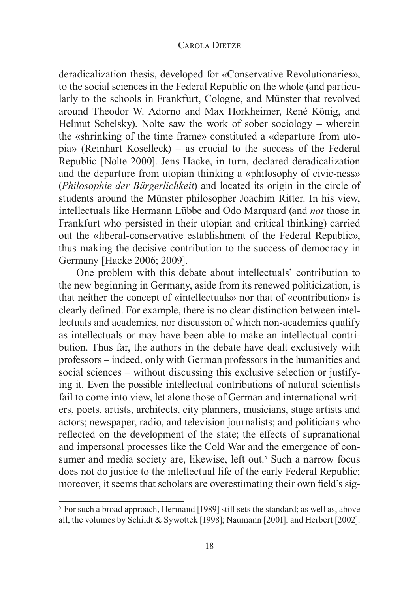deradicalization thesis, developed for «Conservative Revolutionaries», to the social sciences in the Federal Republic on the whole (and particularly to the schools in Frankfurt, Cologne, and Münster that revolved around Theodor W. Adorno and Max Horkheimer, René König, and Helmut Schelsky). Nolte saw the work of sober sociology – wherein the «shrinking of the time frame» constituted a «departure from uto $pia$  (Reinhart Koselleck) – as crucial to the success of the Federal Republic [Nolte 2000]. Jens Hacke, in turn, declared deradicalization and the departure from utopian thinking a «philosophy of civic-ness» (Philosophie der Bürgerlichkeit) and located its origin in the circle of students around the Münster philosopher Joachim Ritter. In his view, intellectuals like Hermann Lübbe and Odo Marquard (and *not* those in Frankfurt who persisted in their utopian and critical thinking) carried out the «liberal-conservative establishment of the Federal Republic», thus making the decisive contribution to the success of democracy in Germany [Hacke 2006; 2009].

One problem with this debate about intellectuals' contribution to the new beginning in Germany, aside from its renewed politicization, is that neither the concept of «intellectuals» nor that of «contribution» is clearly defined. For example, there is no clear distinction between intellectuals and academics, nor discussion of which non-academics qualify as intellectuals or may have been able to make an intellectual contribution. Thus far, the authors in the debate have dealt exclusively with professors – indeed, only with German professors in the humanities and social sciences – without discussing this exclusive selection or justifying it. Even the possible intellectual contributions of natural scientists fail to come into view, let alone those of German and international writers, poets, artists, architects, city planners, musicians, stage artists and actors; newspaper, radio, and television journalists; and politicians who reflected on the development of the state; the effects of supranational and impersonal processes like the Cold War and the emergence of consumer and media society are, likewise, left out.<sup>5</sup> Such a narrow focus does not do justice to the intellectual life of the early Federal Republic; moreover, it seems that scholars are overestimating their own field's sig-

<sup>&</sup>lt;sup>5</sup> For such a broad approach, Hermand [1989] still sets the standard; as well as, above all, the volumes by Schildt & Sywottek [1998]; Naumann [2001]; and Herbert [2002].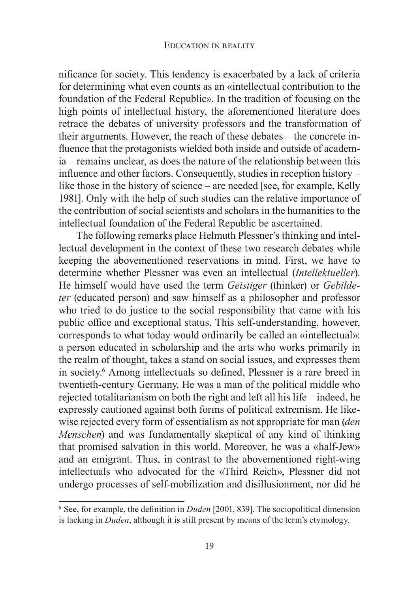nificance for society. This tendency is exacerbated by a lack of criteria for determining what even counts as an «intellectual contribution to the foundation of the Federal Republic». In the tradition of focusing on the high points of intellectual history, the aforementioned literature does retrace the debates of university professors and the transformation of their arguments. However, the reach of these debates – the concrete influence that the protagonists wielded both inside and outside of academia – remains unclear, as does the nature of the relationship between this influence and other factors. Consequently, studies in reception history – like those in the history of science – are needed [see, for example, Kelly 1981. Only with the help of such studies can the relative importance of the contribution of social scientists and scholars in the humanities to the intellectual foundation of the Federal Republic be ascertained.

The following remarks place Helmuth Plessner's thinking and intellectual development in the context of these two research debates while keeping the abovementioned reservations in mind. First, we have to determine whether Plessner was even an intellectual (Intellektueller). He himself would have used the term *Geistiger* (thinker) or *Gebildeter* (educated person) and saw himself as a philosopher and professor who tried to do justice to the social responsibility that came with his public office and exceptional status. This self-understanding, however, corresponds to what today would ordinarily be called an «intellectual»: a person educated in scholarship and the arts who works primarily in the realm of thought, takes a stand on social issues, and expresses them in society.<sup>6</sup> Among intellectuals so defined, Plessner is a rare breed in twentieth-century Germany. He was a man of the political middle who rejected totalitarianism on both the right and left all his life – indeed, he expressly cautioned against both forms of political extremism. He likewise rejected every form of essentialism as not appropriate for man *(den*) *Menschen*) and was fundamentally skeptical of any kind of thinking that promised salvation in this world. Moreover, he was a «half-Jew» and an emigrant. Thus, in contrast to the abovementioned right-wing intellectuals who advocated for the «Third Reich». Plessner did not undergo processes of self-mobilization and disillusionment, nor did he

 $6$  See, for example, the definition in *Duden* [2001, 839]. The sociopolitical dimension is lacking in *Duden*, although it is still present by means of the term's etymology.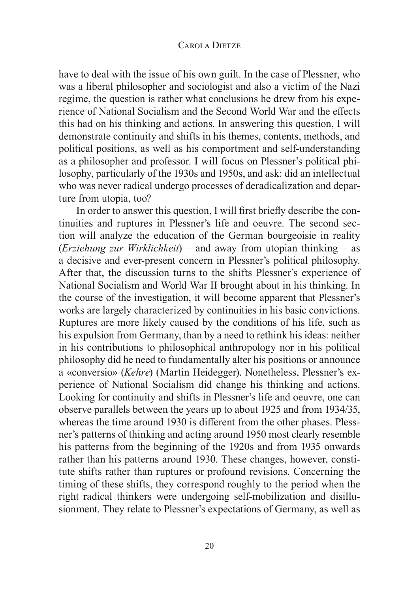have to deal with the issue of his own guilt. In the case of Plessner, who was a liberal philosopher and sociologist and also a victim of the Nazi regime, the question is rather what conclusions he drew from his experience of National Socialism and the Second World War and the effects this had on his thinking and actions. In answering this question, I will demonstrate continuity and shifts in his themes, contents, methods, and political positions, as well as his comportment and self-understanding as a philosopher and professor. I will focus on Plessner's political philosophy, particularly of the 1930s and 1950s, and ask: did an intellectual who was never radical undergo processes of deradicalization and departure from utopia, too?

In order to answer this question, I will first briefly describe the continuities and ruptures in Plessner's life and oeuvre. The second section will analyze the education of the German bourgeoisie in reality (*Erziehung zur Wirklichkeit*) – and away from utopian thinking – as a decisive and ever-present concern in Plessner's political philosophy. After that, the discussion turns to the shifts Plessner's experience of National Socialism and World War II brought about in his thinking. In the course of the investigation, it will become apparent that Plessner's works are largely characterized by continuities in his basic convictions. Ruptures are more likely caused by the conditions of his life, such as his expulsion from Germany, than by a need to rethink his ideas: neither in his contributions to philosophical anthropology nor in his political philosophy did he need to fundamentally alter his positions or announce a «conversio» (Kehre) (Martin Heidegger). Nonetheless, Plessner's experience of National Socialism did change his thinking and actions. Looking for continuity and shifts in Plessner's life and oeuvre, one can observe parallels between the years up to about 1925 and from 1934/35, whereas the time around 1930 is different from the other phases. Plessner's patterns of thinking and acting around 1950 most clearly resemble his patterns from the beginning of the 1920s and from 1935 onwards rather than his patterns around 1930. These changes, however, constitute shifts rather than ruptures or profound revisions. Concerning the timing of these shifts, they correspond roughly to the period when the right radical thinkers were undergoing self-mobilization and disillusionment. They relate to Plessner's expectations of Germany, as well as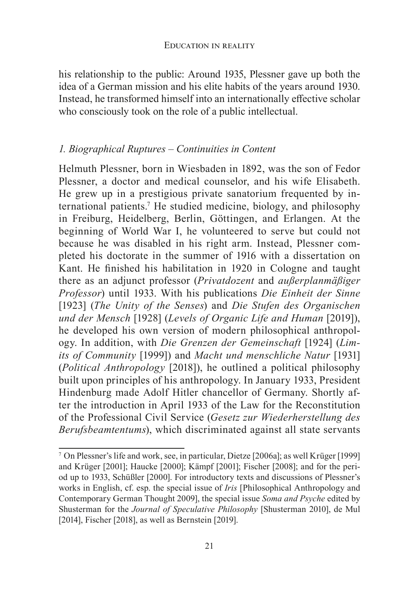his relationship to the public: Around 1935, Plessner gave up both the idea of a German mission and his elite habits of the years around 1930. Instead, he transformed himself into an internationally effective scholar who consciously took on the role of a public intellectual.

# *1. Biographical Ruptures – Continuities in Content*

Helmuth Plessner, born in Wiesbaden in 1892, was the son of Fedor Plessner, a doctor and medical counselor, and his wife Elisabeth. He grew up in a prestigious private sanatorium frequented by international patients.7 He studied medicine, biology, and philosophy in Freiburg, Heidelberg, Berlin, Göttingen, and Erlangen. At the beginning of World War I, he volunteered to serve but could not because he was disabled in his right arm. Instead, Plessner completed his doctorate in the summer of 1916 with a dissertation on Kant. He finished his habilitation in 1920 in Cologne and taught there as an adjunct professor (*Privatdozent* and *außerplanmäßiger Professor*) until 1933. With his publications Die Einheit der Sinne [1923] (The Unity of the Senses) and Die Stufen des Organischen *und der Mensch* [1928] (Levels of Organic Life and Human [2019]), he developed his own version of modern philosophical anthropology. In addition, with *Die Grenzen der Gemeinschaft* [1924] (Lim*its of Community* [1999]) and *Macht und menschliche Natur* [1931] *(Political Anthropology* [2018]), he outlined a political philosophy built upon principles of his anthropology. In January 1933, President Hindenburg made Adolf Hitler chancellor of Germany. Shortly after the introduction in April 1933 of the Law for the Reconstitution of the Professional Civil Service (Gesetz zur Wiederherstellung des *Berufsbeamtentums*), which discriminated against all state servants

 $7$  On Plessner's life and work, see, in particular, Dietze [2006a]; as well Krüger [1999] and Krüger [2001]; Haucke [2000]; Kämpf [2001]; Fischer [2008]; and for the period up to 1933, Schüßler [2000]. For introductory texts and discussions of Plessner's works in English, cf. esp. the special issue of *Iris* [Philosophical Anthropology and Contemporary German Thought 2009], the special issue Soma and Psyche edited by Shusterman for the *Journal of Speculative Philosophy* [Shusterman 2010], de Mul  $[2014]$ , Fischer  $[2018]$ , as well as Bernstein  $[2019]$ .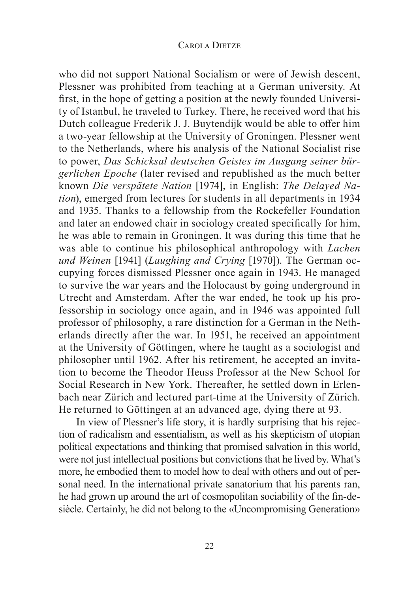who did not support National Socialism or were of Jewish descent, Plessner was prohibited from teaching at a German university. At first, in the hope of getting a position at the newly founded University of Istanbul, he traveled to Turkey. There, he received word that his Dutch colleague Frederik J. J. Buytendijk would be able to offer him a two-year fellowship at the University of Groningen. Plessner went to the Netherlands, where his analysis of the National Socialist rise to power, Das Schicksal deutschen Geistes im Ausgang seiner bürgerlichen Epoche (later revised and republished as the much better known Die verspätete Nation [1974], in English: The Delayed Na*tion*), emerged from lectures for students in all departments in 1934 and 1935. Thanks to a fellowship from the Rockefeller Foundation and later an endowed chair in sociology created specifically for him, he was able to remain in Groningen. It was during this time that he was able to continue his philosophical anthropology with *Lachen* und Weinen [1941] (Laughing and Crying [1970]). The German occupying forces dismissed Plessner once again in 1943. He managed to survive the war years and the Holocaust by going underground in Utrecht and Amsterdam. After the war ended, he took up his professorship in sociology once again, and in 1946 was appointed full professor of philosophy, a rare distinction for a German in the Netherlands directly after the war. In 1951, he received an appointment at the University of Göttingen, where he taught as a sociologist and philosopher until 1962. After his retirement, he accepted an invitation to become the Theodor Heuss Professor at the New School for Social Research in New York. Thereafter, he settled down in Erlenbach near Zürich and lectured part-time at the University of Zürich. He returned to Göttingen at an advanced age, dying there at 93.

In view of Plessner's life story, it is hardly surprising that his rejection of radicalism and essentialism, as well as his skepticism of utopian political expectations and thinking that promised salvation in this world, were not just intellectual positions but convictions that he lived by. What's more, he embodied them to model how to deal with others and out of personal need. In the international private sanatorium that his parents ran, he had grown up around the art of cosmopolitan sociability of the fin-desiècle. Certainly, he did not belong to the «Uncompromising Generation»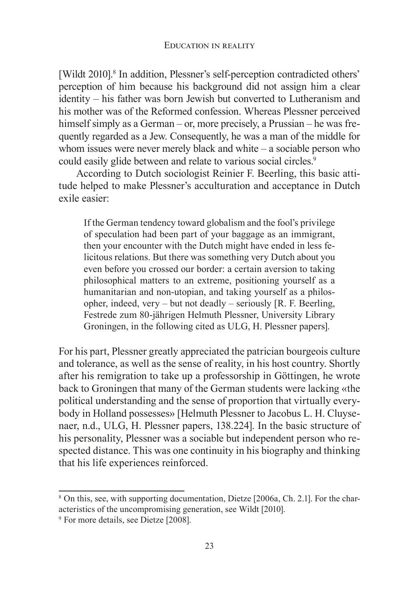[Wildt 2010].<sup>8</sup> In addition, Plessner's self-perception contradicted others' perception of him because his background did not assign him a clear identity  $-$  his father was born Jewish but converted to Lutheranism and his mother was of the Reformed confession. Whereas Plessner perceived himself simply as a German – or, more precisely, a Prussian – he was frequently regarded as a Jew. Consequently, he was a man of the middle for whom issues were never merely black and white  $-$  a sociable person who could easily glide between and relate to various social circles.<sup>9</sup>

According to Dutch sociologist Reinier F. Beerling, this basic attitude helped to make Plessner's acculturation and acceptance in Dutch exile easier:

If the German tendency toward globalism and the fool's privilege of speculation had been part of your baggage as an immigrant, then your encounter with the Dutch might have ended in less felicitous relations. But there was something very Dutch about you even before you crossed our border: a certain aversion to taking philosophical matters to an extreme, positioning yourself as a humanitarian and non-utopian, and taking yourself as a philosopher, indeed, very – but not deadly – seriously [R. F. Beerling, Festrede zum 80-jährigen Helmuth Plessner, University Library Groningen, in the following cited as ULG, H. Plessner papers.

For his part, Plessner greatly appreciated the patrician bourgeois culture and tolerance, as well as the sense of reality, in his host country. Shortly after his remigration to take up a professorship in Göttingen, he wrote back to Groningen that many of the German students were lacking «the political understanding and the sense of proportion that virtually everybody in Holland possesses» [Helmuth Plessner to Jacobus L. H. Cluysenaer, n.d., ULG, H. Plessner papers, 138.224. In the basic structure of his personality, Plessner was a sociable but independent person who respected distance. This was one continuity in his biography and thinking that his life experiences reinforced.

<sup>&</sup>lt;sup>8</sup> On this, see, with supporting documentation, Dietze [2006a, Ch. 2.1]. For the characteristics of the uncompromising generation, see Wildt [2010].

 $9$  For more details, see Dietze [2008].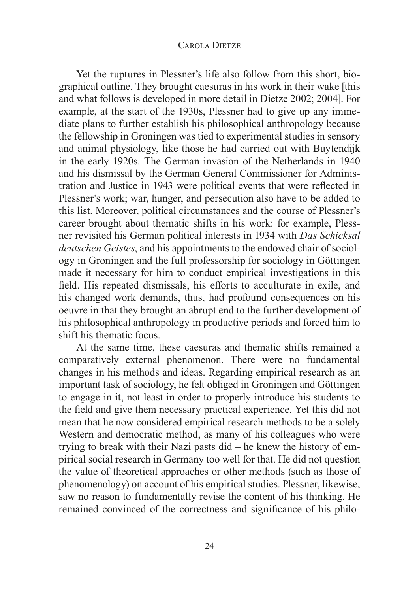Yet the ruptures in Plessner's life also follow from this short, biographical outline. They brought caesuras in his work in their wake [this and what follows is developed in more detail in Dietze 2002; 2004]. For example, at the start of the 1930s, Plessner had to give up any immediate plans to further establish his philosophical anthropology because the fellowship in Groningen was tied to experimental studies in sensory and animal physiology, like those he had carried out with Buytendijk in the early 1920s. The German invasion of the Netherlands in 1940 and his dismissal by the German General Commissioner for Administration and Justice in 1943 were political events that were reflected in Plessner's work; war, hunger, and persecution also have to be added to this list. Moreover, political circumstances and the course of Plessner's career brought about thematic shifts in his work: for example, Plessner revisited his German political interests in 1934 with *Das Schicksal deutschen Geistes*, and his appointments to the endowed chair of sociology in Groningen and the full professorship for sociology in Göttingen made it necessary for him to conduct empirical investigations in this field. His repeated dismissals, his efforts to acculturate in exile, and his changed work demands, thus, had profound consequences on his oeuvre in that they brought an abrupt end to the further development of his philosophical anthropology in productive periods and forced him to shift his thematic focus.

At the same time, these caesuras and thematic shifts remained a comparatively external phenomenon. There were no fundamental changes in his methods and ideas. Regarding empirical research as an important task of sociology, he felt obliged in Groningen and Göttingen to engage in it, not least in order to properly introduce his students to the field and give them necessary practical experience. Yet this did not mean that he now considered empirical research methods to be a solely Western and democratic method, as many of his colleagues who were trying to break with their Nazi pasts  $did$  – he knew the history of empirical social research in Germany too well for that. He did not question the value of theoretical approaches or other methods (such as those of phenomenology) on account of his empirical studies. Plessner, likewise, saw no reason to fundamentally revise the content of his thinking. He remained convinced of the correctness and significance of his philo-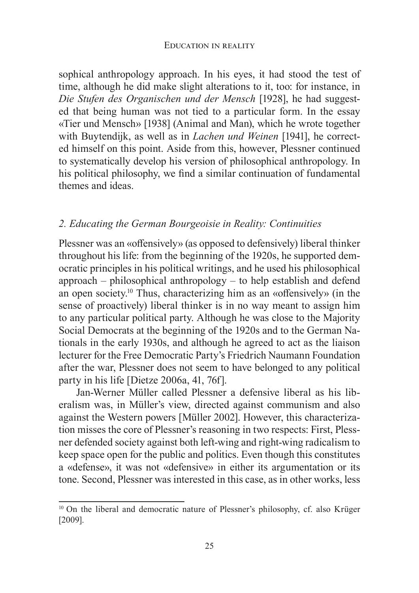sophical anthropology approach. In his eyes, it had stood the test of time, although he did make slight alterations to it, too: for instance, in *Die Stufen des Organischen und der Mensch* [1928], he had suggested that being human was not tied to a particular form. In the essay «Tier und Mensch» [1938] (Animal and Man), which he wrote together with Buytendijk, as well as in *Lachen und Weinen* [1941], he corrected himself on this point. Aside from this, however, Plessner continued to systematically develop his version of philosophical anthropology. In his political philosophy, we find a similar continuation of fundamental themes and ideas.

### *2. Educating the German Bourgeoisie in Reality: Continuities*

Plessner was an «offensively» (as opposed to defensively) liberal thinker throughout his life: from the beginning of the 1920s, he supported democratic principles in his political writings, and he used his philosophical approach – philosophical anthropology – to help establish and defend an open society.<sup>10</sup> Thus, characterizing him as an «offensively» (in the sense of proactively) liberal thinker is in no way meant to assign him to any particular political party. Although he was close to the Majority Social Democrats at the beginning of the 1920s and to the German Nationals in the early 1930s, and although he agreed to act as the liaison lecturer for the Free Democratic Party's Friedrich Naumann Foundation after the war, Plessner does not seem to have belonged to any political party in his life [Dietze 2006a, 41, 76f].

Jan-Werner Müller called Plessner a defensive liberal as his liberalism was, in Müller's view, directed against communism and also against the Western powers [Müller 2002]. However, this characterization misses the core of Plessner's reasoning in two respects: First, Plessner defended society against both left-wing and right-wing radicalism to keep space open for the public and politics. Even though this constitutes a «defense», it was not «defensive» in either its argumentation or its tone. Second, Plessner was interested in this case, as in other works, less

<sup>&</sup>lt;sup>10</sup> On the liberal and democratic nature of Plessner's philosophy, cf. also Krüger  $[2009]$ .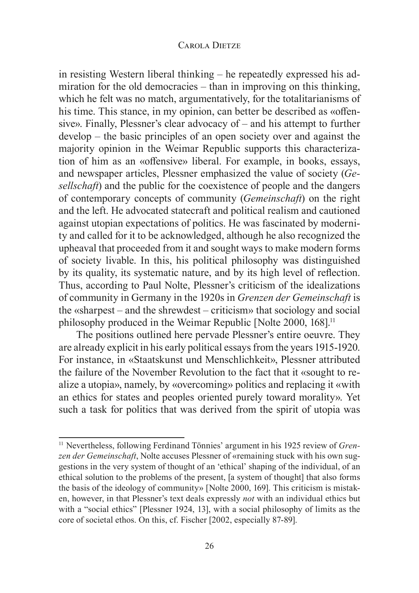in resisting Western liberal thinking  $-$  he repeatedly expressed his admiration for the old democracies  $-$  than in improving on this thinking, which he felt was no match, argumentatively, for the totalitarianisms of his time. This stance, in my opinion, can better be described as «offensive». Finally, Plessner's clear advocacy of  $-$  and his attempt to further develop – the basic principles of an open society over and against the majority opinion in the Weimar Republic supports this characterization of him as an «offensive» liberal. For example, in books, essays, and newspaper articles, Plessner emphasized the value of society (Ge*sellschaft*) and the public for the coexistence of people and the dangers of contemporary concepts of community (*Gemeinschaft*) on the right and the left. He advocated statecraft and political realism and cautioned against utopian expectations of politics. He was fascinated by modernity and called for it to be acknowledged, although he also recognized the upheaval that proceeded from it and sought ways to make modern forms of society livable. In this, his political philosophy was distinguished by its quality, its systematic nature, and by its high level of reflection. Thus, according to Paul Nolte, Plessner's criticism of the idealizations of community in Germany in the 1920s in Grenzen der Gemeinschaft is the «sharpest – and the shrewdest – criticism» that sociology and social philosophy produced in the Weimar Republic [Nolte 2000, 168].<sup>11</sup>

The positions outlined here pervade Plessner's entire oeuvre. They are already explicit in his early political essays from the years 1915-1920. For instance, in «Staatskunst und Menschlichkeit», Plessner attributed the failure of the November Revolution to the fact that it «sought to realize a utopia», namely, by «overcoming» politics and replacing it «with an ethics for states and peoples oriented purely toward morality». Yet such a task for politics that was derived from the spirit of utopia was

<sup>&</sup>lt;sup>11</sup> Nevertheless, following Ferdinand Tönnies' argument in his 1925 review of Gren*zen der Gemeinschaft*, Nolte accuses Plessner of «remaining stuck with his own suggestions in the very system of thought of an 'ethical' shaping of the individual, of an ethical solution to the problems of the present, [a system of thought] that also forms the basis of the ideology of community» [Nolte 2000, 169]. This criticism is mistaken, however, in that Plessner's text deals expressly not with an individual ethics but with a "social ethics" [Plessner 1924, 13], with a social philosophy of limits as the core of societal ethos. On this, cf. Fischer [2002, especially 87-89].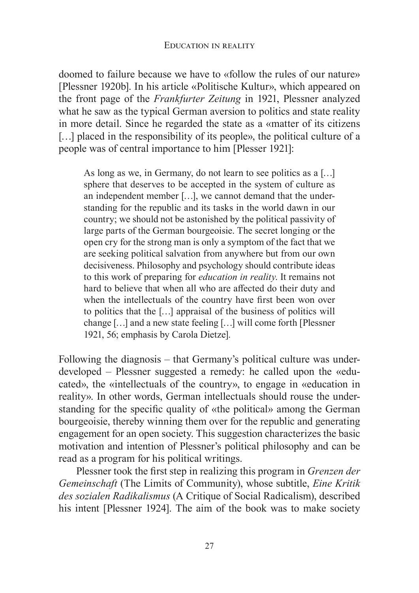doomed to failure because we have to «follow the rules of our nature» [Plessner 1920b]. In his article «Politische Kultur», which appeared on the front page of the *Frankfurter Zeitung* in 1921, Plessner analyzed what he saw as the typical German aversion to politics and state reality in more detail. Since he regarded the state as a «matter of its citizens [ $\ldots$ ] placed in the responsibility of its people», the political culture of a people was of central importance to him [Plesser 1921]:

As long as we, in Germany, do not learn to see politics as a [...] sphere that deserves to be accepted in the system of culture as an independent member [ $\dots$ ], we cannot demand that the understanding for the republic and its tasks in the world dawn in our country; we should not be astonished by the political passivity of large parts of the German bourgeoisie. The secret longing or the open cry for the strong man is only a symptom of the fact that we are seeking political salvation from anywhere but from our own decisiveness. Philosophy and psychology should contribute ideas to this work of preparing for *education in reality*. It remains not hard to believe that when all who are affected do their duty and when the intellectuals of the country have first been won over to politics that the [...] appraisal of the business of politics will change  $[\dots]$  and a new state feeling  $[\dots]$  will come forth [Plessner 1921, 56; emphasis by Carola Dietzel.

Following the diagnosis  $-$  that Germany's political culture was underdeveloped – Plessner suggested a remedy: he called upon the «educated», the «intellectuals of the country», to engage in «education in reality». In other words, German intellectuals should rouse the understanding for the specific quality of «the political» among the German bourgeoisie, thereby winning them over for the republic and generating engagement for an open society. This suggestion characterizes the basic motivation and intention of Plessner's political philosophy and can be read as a program for his political writings.

Plessner took the first step in realizing this program in Grenzen der *Gemeinschaft* (The Limits of Community), whose subtitle, *Eine Kritik des sozialen Radikalismus* (A Critique of Social Radicalism), described his intent [Plessner 1924]. The aim of the book was to make society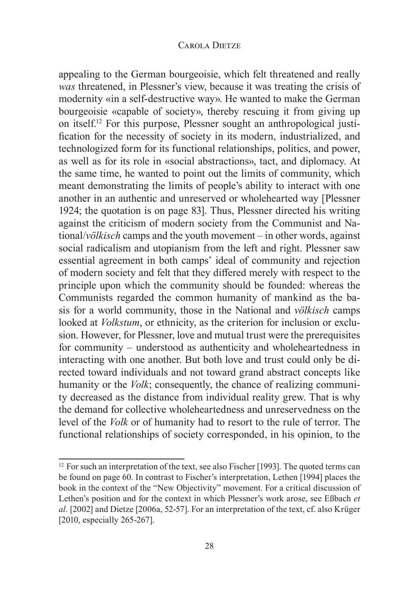appealing to the German bourgeoisie, which felt threatened and really was threatened, in Plessner's view, because it was treating the crisis of modernity «in a self-destructive way». He wanted to make the German bourgeoisie «capable of society», thereby rescuing it from giving up on itself.<sup>12</sup> For this purpose, Plessner sought an anthropological justification for the necessity of society in its modern, industrialized, and technologized form for its functional relationships, politics, and power, as well as for its role in «social abstractions», tact, and diplomacy. At the same time, he wanted to point out the limits of community, which meant demonstrating the limits of people's ability to interact with one another in an authentic and unreserved or wholehearted way [Plessner] 1924; the quotation is on page 83. Thus, Plessner directed his writing against the criticism of modern society from the Communist and National/völkisch camps and the youth movement – in other words, against social radicalism and utopianism from the left and right. Plessner saw essential agreement in both camps' ideal of community and rejection of modern society and felt that they differed merely with respect to the principle upon which the community should be founded: whereas the Communists regarded the common humanity of mankind as the basis for a world community, those in the National and *völkisch* camps looked at *Volkstum*, or ethnicity, as the criterion for inclusion or exclusion. However, for Plessner, love and mutual trust were the prerequisites for community – understood as authenticity and wholeheartedness in interacting with one another. But both love and trust could only be directed toward individuals and not toward grand abstract concepts like humanity or the *Volk*; consequently, the chance of realizing community decreased as the distance from individual reality grew. That is why the demand for collective wholeheartedness and unreservedness on the level of the *Volk* or of humanity had to resort to the rule of terror. The functional relationships of society corresponded, in his opinion, to the

<sup>&</sup>lt;sup>12</sup> For such an interpretation of the text, see also Fischer [1993]. The quoted terms can be found on page 60. In contrast to Fischer's interpretation, Lethen [1994] places the book in the context of the "New Objectivity" movement. For a critical discussion of Lethen's position and for the context in which Plessner's work arose, see Eßbach et al. [2002] and Dietze [2006a, 52-57]. For an interpretation of the text, cf. also Krüger [2010, especially 265-267].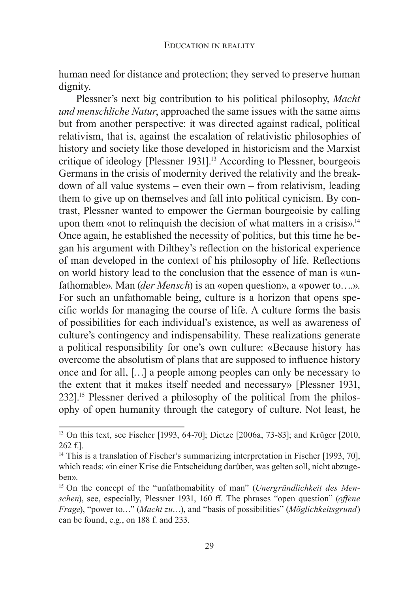human need for distance and protection; they served to preserve human dignity.

Plessner's next big contribution to his political philosophy, Macht *und menschliche Natur*, approached the same issues with the same aims but from another perspective: it was directed against radical, political relativism, that is, against the escalation of relativistic philosophies of history and society like those developed in historicism and the Marxist critique of ideology [Plessner 1931].<sup>13</sup> According to Plessner, bourgeois Germans in the crisis of modernity derived the relativity and the breakdown of all value systems – even their own – from relativism, leading them to give up on themselves and fall into political cynicism. By contrast, Plessner wanted to empower the German bourgeoisie by calling upon them «not to relinquish the decision of what matters in a crisis».<sup>14</sup> Once again, he established the necessity of politics, but this time he began his argument with Dilthey's reflection on the historical experience of man developed in the context of his philosophy of life. Reflections on world history lead to the conclusion that the essence of man is «unfathomable». Man *(der Mensch)* is an «open question», a «power to....». For such an unfathomable being, culture is a horizon that opens specific worlds for managing the course of life. A culture forms the basis of possibilities for each individual's existence, as well as awareness of culture's contingency and indispensability. These realizations generate a political responsibility for one's own culture: «Because history has overcome the absolutism of plans that are supposed to influence history once and for all,  $\left[\ldots\right]$  a people among peoples can only be necessary to the extent that it makes itself needed and necessary» [Plessner 1931,  $232$ <sup>[15]</sup> Plessner derived a philosophy of the political from the philosophy of open humanity through the category of culture. Not least, he

<sup>&</sup>lt;sup>13</sup> On this text, see Fischer [1993, 64-70]; Dietze [2006a, 73-83]; and Krüger [2010, 262 f.].

<sup>&</sup>lt;sup>14</sup> This is a translation of Fischer's summarizing interpretation in Fischer [1993, 70], which reads: «in einer Krise die Entscheidung darüber, was gelten soll, nicht abzugeben».

<sup>&</sup>lt;sup>15</sup> On the concept of the "unfathomability of man" (Unergründlichkeit des Men*schen*), see, especially, Plessner 1931, 160 ff. The phrases "open question" (offene *Frage*), "power to..." (Macht zu...), and "basis of possibilities" (Möglichkeitsgrund) can be found, e.g., on 188 f. and 233.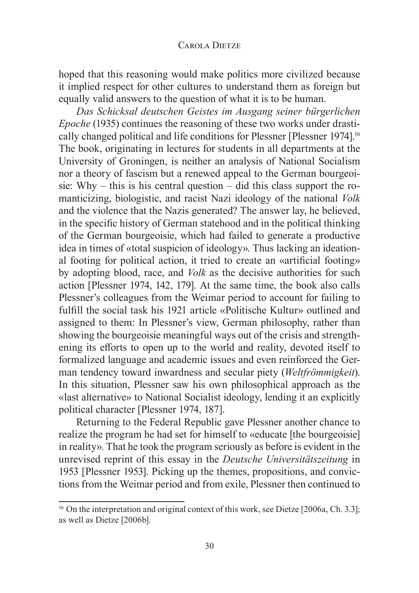hoped that this reasoning would make politics more civilized because it implied respect for other cultures to understand them as foreign but equally valid answers to the question of what it is to be human.

Das Schicksal deutschen Geistes im Ausgang seiner bürgerlichen *Epoche* (1935) continues the reasoning of these two works under drastically changed political and life conditions for Plessner [Plessner 1974].<sup>16</sup> The book, originating in lectures for students in all departments at the University of Groningen, is neither an analysis of National Socialism nor a theory of fascism but a renewed appeal to the German bourgeoisie: Why – this is his central question – did this class support the romanticizing, biologistic, and racist Nazi ideology of the national Volk and the violence that the Nazis generated? The answer lay, he believed, in the specific history of German statehood and in the political thinking of the German bourgeoisie, which had failed to generate a productive idea in times of «total suspicion of ideology». Thus lacking an ideational footing for political action, it tried to create an «artificial footing» by adopting blood, race, and *Volk* as the decisive authorities for such action [Plessner 1974, 142, 179]. At the same time, the book also calls Plessner's colleagues from the Weimar period to account for failing to fulfill the social task his 1921 article «Politische Kultur» outlined and assigned to them: In Plessner's view, German philosophy, rather than showing the bourgeoisie meaningful ways out of the crisis and strengthening its efforts to open up to the world and reality, devoted itself to formalized language and academic issues and even reinforced the German tendency toward inwardness and secular piety (Weltfrömmigkeit). In this situation, Plessner saw his own philosophical approach as the «last alternative» to National Socialist ideology, lending it an explicitly political character [Plessner 1974, 187].

Returning to the Federal Republic gave Plessner another chance to realize the program he had set for himself to «educate [the bourgeoisie] in reality». That he took the program seriously as before is evident in the unrevised reprint of this essay in the *Deutsche Universitätszeitung* in 1953 [Plessner 1953]. Picking up the themes, propositions, and convictions from the Weimar period and from exile, Plessner then continued to

<sup>&</sup>lt;sup>16</sup> On the interpretation and original context of this work, see Dietze [2006a, Ch. 3.3]; as well as Dietze [2006b].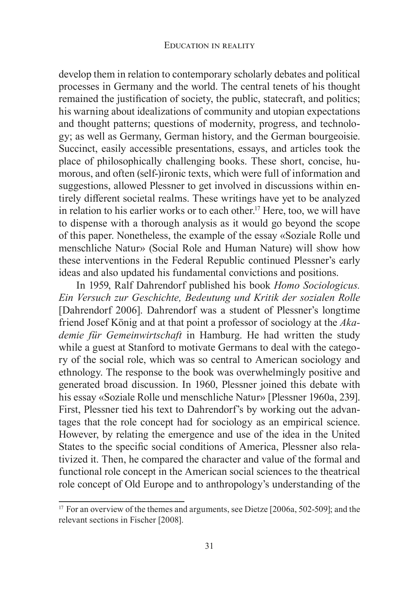develop them in relation to contemporary scholarly debates and political processes in Germany and the world. The central tenets of his thought remained the justification of society, the public, statecraft, and politics; his warning about idealizations of community and utopian expectations and thought patterns; questions of modernity, progress, and technology; as well as Germany, German history, and the German bourgeoisie. Succinct, easily accessible presentations, essays, and articles took the place of philosophically challenging books. These short, concise, humorous, and often (self-)ironic texts, which were full of information and suggestions, allowed Plessner to get involved in discussions within entirely different societal realms. These writings have yet to be analyzed in relation to his earlier works or to each other.<sup>17</sup> Here, too, we will have to dispense with a thorough analysis as it would go beyond the scope of this paper. Nonetheless, the example of the essay «Soziale Rolle und menschliche Natur» (Social Role and Human Nature) will show how these interventions in the Federal Republic continued Plessner's early ideas and also updated his fundamental convictions and positions.

In 1959, Ralf Dahrendorf published his book *Homo Sociologicus*. *Ein Versuch zur Geschichte, Bedeutung und Kritik der sozialen Rolle*  [Dahrendorf 2006]. Dahrendorf was a student of Plessner's longtime friend Josef König and at that point a professor of sociology at the Aka*demie für Gemeinwirtschaft* in Hamburg. He had written the study while a guest at Stanford to motivate Germans to deal with the category of the social role, which was so central to American sociology and ethnology. The response to the book was overwhelmingly positive and generated broad discussion. In 1960, Plessner joined this debate with his essay «Soziale Rolle und menschliche Natur» [Plessner 1960a, 239]. First, Plessner tied his text to Dahrendorf's by working out the advantages that the role concept had for sociology as an empirical science. However, by relating the emergence and use of the idea in the United States to the specific social conditions of America, Plessner also relativized it. Then, he compared the character and value of the formal and functional role concept in the American social sciences to the theatrical role concept of Old Europe and to anthropology's understanding of the

<sup>&</sup>lt;sup>17</sup> For an overview of the themes and arguments, see Dietze [2006a, 502-509]; and the relevant sections in Fischer [2008].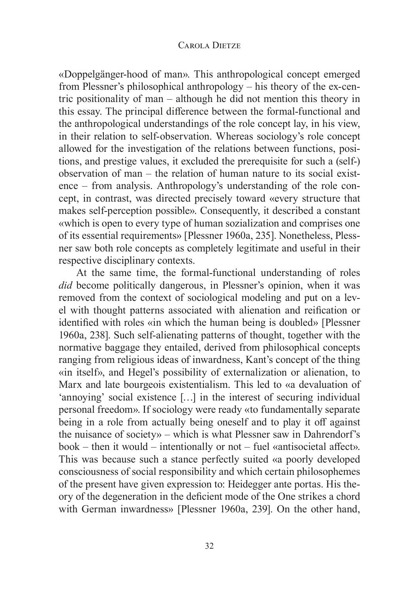«Doppelgänger-hood of man». This anthropological concept emerged from Plessner's philosophical anthropology  $-$  his theory of the ex-centric positionality of man – although he did not mention this theory in this essay. The principal difference between the formal-functional and the anthropological understandings of the role concept lay, in his view, in their relation to self-observation. Whereas sociology's role concept allowed for the investigation of the relations between functions, positions, and prestige values, it excluded the prerequisite for such a (self-) observation of man – the relation of human nature to its social exist- $\theta$  = from analysis. Anthropology's understanding of the role concept, in contrast, was directed precisely toward «every structure that makes self-perception possible». Consequently, it described a constant «which is open to every type of human sozialization and comprises one of its essential requirements» [Plessner 1960a, 235]. Nonetheless, Plessner saw both role concepts as completely legitimate and useful in their respective disciplinary contexts.

At the same time, the formal-functional understanding of roles *did* become politically dangerous, in Plessner's opinion, when it was removed from the context of sociological modeling and put on a level with thought patterns associated with alienation and reification or identified with roles «in which the human being is doubled» [Plessner 1960a, 238]. Such self-alienating patterns of thought, together with the normative baggage they entailed, derived from philosophical concepts ranging from religious ideas of inwardness, Kant's concept of the thing «in itself», and Hegel's possibility of externalization or alienation, to Marx and late bourgeois existentialism. This led to «a devaluation of 'annoying' social existence  $[\ldots]$  in the interest of securing individual personal freedom». If sociology were ready «to fundamentally separate being in a role from actually being oneself and to play it off against the nuisance of society» – which is what Plessner saw in Dahrendorf's book – then it would – intentionally or not – fuel «antisocietal affect». This was because such a stance perfectly suited «a poorly developed consciousness of social responsibility and which certain philosophemes of the present have given expression to: Heidegger ante portas. His theory of the degeneration in the deficient mode of the One strikes a chord with German inwardness» [Plessner 1960a, 239]. On the other hand,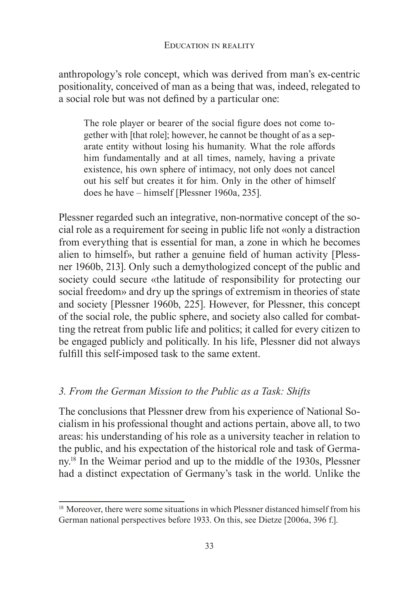anthropology's role concept, which was derived from man's ex-centric positionality, conceived of man as a being that was, indeed, relegated to a social role but was not defined by a particular one:

The role player or bearer of the social figure does not come together with [that role]; however, he cannot be thought of as a separate entity without losing his humanity. What the role affords him fundamentally and at all times, namely, having a private existence, his own sphere of intimacy, not only does not cancel out his self but creates it for him. Only in the other of himself does he have  $-$  himself [Plessner 1960a, 235].

Plessner regarded such an integrative, non-normative concept of the social role as a requirement for seeing in public life not «only a distraction from everything that is essential for man, a zone in which he becomes alien to himself», but rather a genuine field of human activity [Plessner 1960b, 213]. Only such a demythologized concept of the public and society could secure «the latitude of responsibility for protecting our social freedom» and dry up the springs of extremism in theories of state and society [Plessner 1960b, 225]. However, for Plessner, this concept of the social role, the public sphere, and society also called for combatting the retreat from public life and politics; it called for every citizen to be engaged publicly and politically. In his life, Plessner did not always fulfill this self-imposed task to the same extent.

## *3. From the German Mission to the Public as a Task: Shifts*

The conclusions that Plessner drew from his experience of National Socialism in his professional thought and actions pertain, above all, to two areas: his understanding of his role as a university teacher in relation to the public, and his expectation of the historical role and task of Germany.<sup>18</sup> In the Weimar period and up to the middle of the 1930s, Plessner had a distinct expectation of Germany's task in the world. Unlike the

<sup>&</sup>lt;sup>18</sup> Moreover, there were some situations in which Plessner distanced himself from his German national perspectives before 1933. On this, see Dietze [2006a, 396 f.].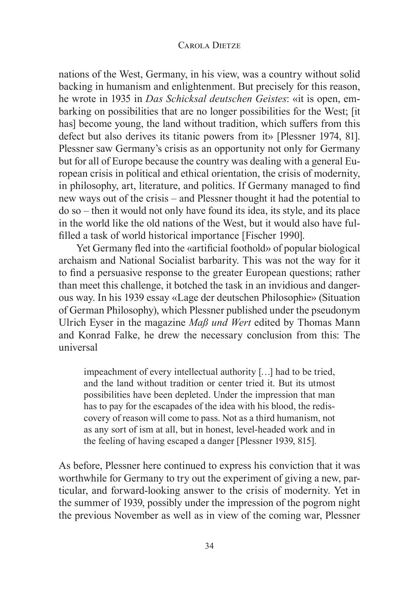nations of the West, Germany, in his view, was a country without solid backing in humanism and enlightenment. But precisely for this reason, he wrote in 1935 in *Das Schicksal deutschen Geistes*: «it is open, embarking on possibilities that are no longer possibilities for the West; [it] has] become young, the land without tradition, which suffers from this defect but also derives its titanic powers from it» [Plessner 1974, 81]. Plessner saw Germany's crisis as an opportunity not only for Germany but for all of Europe because the country was dealing with a general European crisis in political and ethical orientation, the crisis of modernity, in philosophy, art, literature, and politics. If Germany managed to find new ways out of the crisis – and Plessner thought it had the potential to do so – then it would not only have found its idea, its style, and its place in the world like the old nations of the West, but it would also have fulfilled a task of world historical importance [Fischer 1990].

Yet Germany fled into the «artificial foothold» of popular biological archaism and National Socialist barbarity. This was not the way for it to find a persuasive response to the greater European questions; rather than meet this challenge, it botched the task in an invidious and dangerous way. In his 1939 essay «Lage der deutschen Philosophie» (Situation of German Philosophy), which Plessner published under the pseudonym Ulrich Eyser in the magazine *Maß und Wert* edited by Thomas Mann and Konrad Falke, he drew the necessary conclusion from this: The universal

impeachment of every intellectual authority [...] had to be tried, and the land without tradition or center tried it. But its utmost possibilities have been depleted. Under the impression that man has to pay for the escapades of the idea with his blood, the rediscovery of reason will come to pass. Not as a third humanism, not as any sort of ism at all, but in honest, level-headed work and in the feeling of having escaped a danger [Plessner 1939, 815].

As before. Plessner here continued to express his conviction that it was worthwhile for Germany to try out the experiment of giving a new, particular, and forward-looking answer to the crisis of modernity. Yet in the summer of 1939, possibly under the impression of the pogrom night the previous November as well as in view of the coming war, Plessner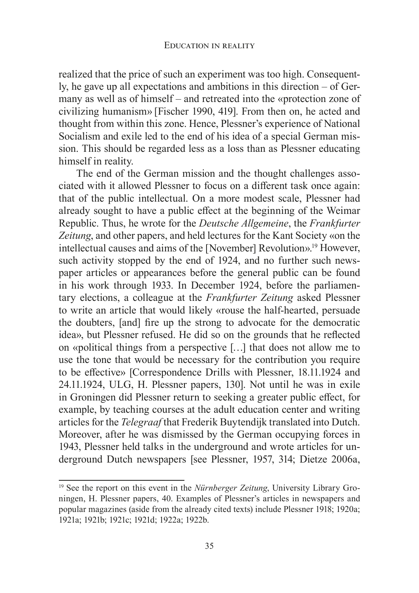realized that the price of such an experiment was too high. Consequently, he gave up all expectations and ambitions in this direction  $-$  of Germany as well as of himself – and retreated into the «protection zone of civilizing humanism» [Fischer 1990, 419]. From then on, he acted and thought from within this zone. Hence, Plessner's experience of National Socialism and exile led to the end of his idea of a special German mission. This should be regarded less as a loss than as Plessner educating himself in reality.

The end of the German mission and the thought challenges associated with it allowed Plessner to focus on a different task once again: that of the public intellectual. On a more modest scale, Plessner had already sought to have a public effect at the beginning of the Weimar Example 5. Thus, he wrote for the *Deutsche Allgemeine*, the *Frankfurter* **Republic.** Thus, he wrote for the *Deutsche Allgemeine*, the *Frankfurter Zeitung*, and other papers, and held lectures for the Kant Society «on the intellectual causes and aims of the [November] Revolution».<sup>19</sup> However, such activity stopped by the end of 1924, and no further such newspaper articles or appearances before the general public can be found in his work through 1933. In December 1924, before the parliamentary elections, a colleague at the *Frankfurter Zeitung* asked Plessner to write an article that would likely «rouse the half-hearted, persuade the doubters, [and] fire up the strong to advocate for the democratic idea», but Plessner refused. He did so on the grounds that he reflected on «political things from a perspective [...] that does not allow me to use the tone that would be necessary for the contribution you require to be effective» [Correspondence Drills with Plessner, 18.11.1924 and 24.11.1924, ULG, H. Plessner papers, 130]. Not until he was in exile in Groningen did Plessner return to seeking a greater public effect, for example, by teaching courses at the adult education center and writing articles for the *Telegraaf* that Frederik Buytendijk translated into Dutch. Moreover, after he was dismissed by the German occupying forces in 1943, Plessner held talks in the underground and wrote articles for underground Dutch newspapers [see Plessner, 1957, 314; Dietze 2006a,

<sup>&</sup>lt;sup>19</sup> See the report on this event in the *Nürnberger Zeitung*, University Library Groningen, H. Plessner papers, 40. Examples of Plessner's articles in newspapers and popular magazines (aside from the already cited texts) include Plessner 1918; 1920a; 1921a; 1921b; 1921c; 1921d; 1922a; 1922b.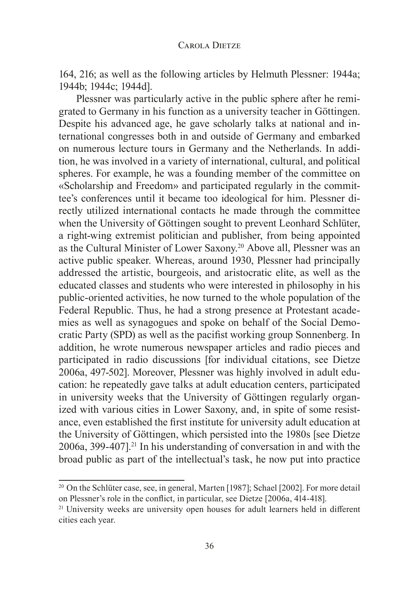164, 216; as well as the following articles by Helmuth Plessner: 1944a; 1944b; 1944c; 1944d].

Plessner was particularly active in the public sphere after he remigrated to Germany in his function as a university teacher in Göttingen. Despite his advanced age, he gave scholarly talks at national and international congresses both in and outside of Germany and embarked on numerous lecture tours in Germany and the Netherlands. In addition, he was involved in a variety of international, cultural, and political spheres. For example, he was a founding member of the committee on «Scholarship and Freedom» and participated regularly in the committee's conferences until it became too ideological for him. Plessner directly utilized international contacts he made through the committee when the University of Göttingen sought to prevent Leonhard Schlüter, a right-wing extremist politician and publisher, from being appointed as the Cultural Minister of Lower Saxony.<sup>20</sup> Above all, Plessner was an active public speaker. Whereas, around 1930, Plessner had principally addressed the artistic, bourgeois, and aristocratic elite, as well as the educated classes and students who were interested in philosophy in his public-oriented activities, he now turned to the whole population of the Federal Republic. Thus, he had a strong presence at Protestant academies as well as synagogues and spoke on behalf of the Social Democratic Party (SPD) as well as the pacifist working group Sonnenberg. In addition, he wrote numerous newspaper articles and radio pieces and participated in radio discussions [for individual citations, see Dietze 2006a, 497-502]. Moreover, Plessner was highly involved in adult education: he repeatedly gave talks at adult education centers, participated in university weeks that the University of Göttingen regularly organized with various cities in Lower Saxony, and, in spite of some resistance, even established the first institute for university adult education at the University of Göttingen, which persisted into the 1980s [see Dietze  $2006a$ ,  $399-407$ ].<sup>21</sup> In his understanding of conversation in and with the broad public as part of the intellectual's task, he now put into practice

<sup>&</sup>lt;sup>20</sup> On the Schlüter case, see, in general, Marten [1987]; Schael [2002]. For more detail on Plessner's role in the conflict, in particular, see Dietze [2006a, 414-418].

<sup>&</sup>lt;sup>21</sup> University weeks are university open houses for adult learners held in different cities each year.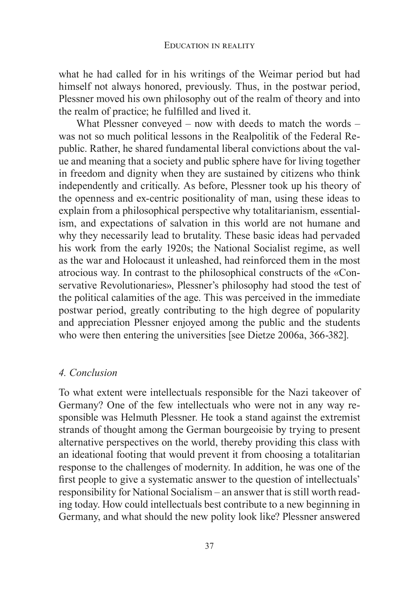what he had called for in his writings of the Weimar period but had himself not always honored, previously. Thus, in the postwar period, Plessner moved his own philosophy out of the realm of theory and into the realm of practice; he fulfilled and lived it.

What Plessner conveyed  $-$  now with deeds to match the words  $$ was not so much political lessons in the Realpolitik of the Federal Republic. Rather, he shared fundamental liberal convictions about the value and meaning that a society and public sphere have for living together in freedom and dignity when they are sustained by citizens who think independently and critically. As before, Plessner took up his theory of the openness and ex-centric positionality of man, using these ideas to explain from a philosophical perspective why totalitarianism, essentialism, and expectations of salvation in this world are not humane and why they necessarily lead to brutality. These basic ideas had pervaded his work from the early 1920s; the National Socialist regime, as well as the war and Holocaust it unleashed, had reinforced them in the most atrocious way. In contrast to the philosophical constructs of the «Conservative Revolutionaries», Plessner's philosophy had stood the test of the political calamities of the age. This was perceived in the immediate postwar period, greatly contributing to the high degree of popularity and appreciation Plessner enjoyed among the public and the students who were then entering the universities [see Dietze 2006a, 366-382].

### *4. Conclusion*

To what extent were intellectuals responsible for the Nazi takeover of Germany? One of the few intellectuals who were not in any way responsible was Helmuth Plessner. He took a stand against the extremist strands of thought among the German bourgeoisie by trying to present alternative perspectives on the world, thereby providing this class with an ideational footing that would prevent it from choosing a totalitarian response to the challenges of modernity. In addition, he was one of the first people to give a systematic answer to the question of intellectuals' responsibility for National Socialism – an answer that is still worth reading today. How could intellectuals best contribute to a new beginning in Germany, and what should the new polity look like? Plessner answered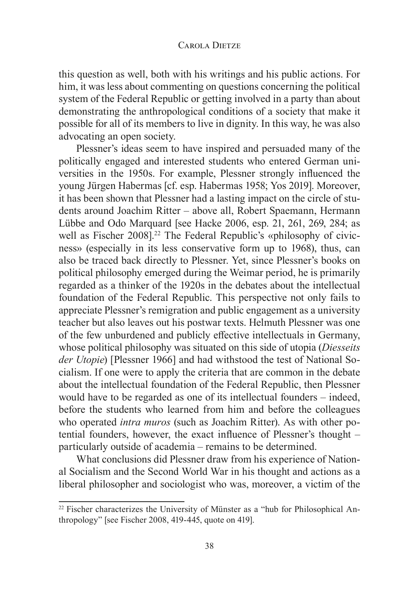this question as well, both with his writings and his public actions. For him, it was less about commenting on questions concerning the political system of the Federal Republic or getting involved in a party than about demonstrating the anthropological conditions of a society that make it possible for all of its members to live in dignity. In this way, he was also advocating an open society.

Plessner's ideas seem to have inspired and persuaded many of the politically engaged and interested students who entered German universities in the 1950s. For example, Plessner strongly influenced the young Jürgen Habermas [cf. esp. Habermas 1958; Yos 2019]. Moreover, it has been shown that Plessner had a lasting impact on the circle of students around Joachim Ritter – above all, Robert Spaemann, Hermann Lübbe and Odo Marquard [see Hacke 2006, esp. 21, 261, 269, 284; as well as Fischer 2008].<sup>22</sup> The Federal Republic's «philosophy of civicness» (especially in its less conservative form up to 1968), thus, can also be traced back directly to Plessner. Yet, since Plessner's books on political philosophy emerged during the Weimar period, he is primarily regarded as a thinker of the 1920s in the debates about the intellectual foundation of the Federal Republic. This perspective not only fails to appreciate Plessner's remigration and public engagement as a university teacher but also leaves out his postwar texts. Helmuth Plessner was one of the few unburdened and publicly effective intellectuals in Germany, whose political philosophy was situated on this side of utopia (*Diesseits der Utopie*) [Plessner 1966] and had withstood the test of National Socialism. If one were to apply the criteria that are common in the debate about the intellectual foundation of the Federal Republic, then Plessner would have to be regarded as one of its intellectual founders – indeed, before the students who learned from him and before the colleagues who operated *intra muros* (such as Joachim Ritter). As with other potential founders, however, the exact influence of Plessner's thought  $$ particularly outside of academia – remains to be determined.

What conclusions did Plessner draw from his experience of National Socialism and the Second World War in his thought and actions as a liberal philosopher and sociologist who was, moreover, a victim of the

<sup>&</sup>lt;sup>22</sup> Fischer characterizes the University of Münster as a "hub for Philosophical Anthropology" [see Fischer 2008, 419-445, quote on 419].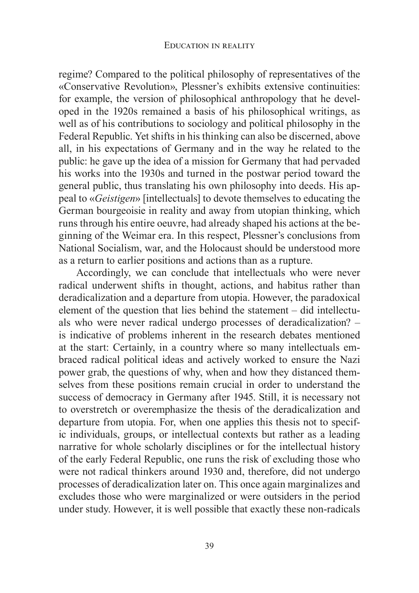regime? Compared to the political philosophy of representatives of the «Conservative Revolution», Plessner's exhibits extensive continuities: for example, the version of philosophical anthropology that he developed in the 1920s remained a basis of his philosophical writings, as well as of his contributions to sociology and political philosophy in the Federal Republic. Yet shifts in his thinking can also be discerned, above all, in his expectations of Germany and in the way he related to the public: he gave up the idea of a mission for Germany that had pervaded his works into the 1930s and turned in the postwar period toward the general public, thus translating his own philosophy into deeds. His appeal to «Geistigen» [intellectuals] to devote themselves to educating the German bourgeoisie in reality and away from utopian thinking, which runs through his entire oeuvre, had already shaped his actions at the beginning of the Weimar era. In this respect, Plessner's conclusions from National Socialism, war, and the Holocaust should be understood more as a return to earlier positions and actions than as a rupture.

Accordingly, we can conclude that intellectuals who were never radical underwent shifts in thought, actions, and habitus rather than deradicalization and a departure from utopia. However, the paradoxical element of the question that lies behind the statement – did intellectuals who were never radical undergo processes of deradicalization? is indicative of problems inherent in the research debates mentioned at the start: Certainly, in a country where so many intellectuals embraced radical political ideas and actively worked to ensure the Nazi power grab, the questions of why, when and how they distanced themselves from these positions remain crucial in order to understand the success of democracy in Germany after 1945. Still, it is necessary not to overstretch or overemphasize the thesis of the deradicalization and departure from utopia. For, when one applies this thesis not to specific individuals, groups, or intellectual contexts but rather as a leading narrative for whole scholarly disciplines or for the intellectual history of the early Federal Republic, one runs the risk of excluding those who were not radical thinkers around 1930 and, therefore, did not undergo processes of deradicalization later on. This once again marginalizes and excludes those who were marginalized or were outsiders in the period under study. However, it is well possible that exactly these non-radicals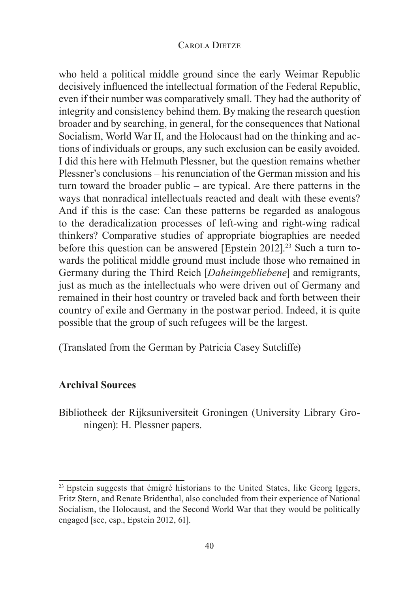who held a political middle ground since the early Weimar Republic decisively influenced the intellectual formation of the Federal Republic, even if their number was comparatively small. They had the authority of integrity and consistency behind them. By making the research question broader and by searching, in general, for the consequences that National Socialism, World War II, and the Holocaust had on the thinking and actions of individuals or groups, any such exclusion can be easily avoided. I did this here with Helmuth Plessner, but the question remains whether Plessner's conclusions – his renunciation of the German mission and his turn toward the broader public – are typical. Are there patterns in the ways that nonradical intellectuals reacted and dealt with these events? And if this is the case: Can these patterns be regarded as analogous to the deradicalization processes of left-wing and right-wing radical thinkers? Comparative studies of appropriate biographies are needed before this question can be answered [Epstein 2012].<sup>23</sup> Such a turn towards the political middle ground must include those who remained in Germany during the Third Reich [*Daheimgebliebene*] and remigrants, just as much as the intellectuals who were driven out of Germany and remained in their host country or traveled back and forth between their country of exile and Germany in the postwar period. Indeed, it is quite possible that the group of such refugees will be the largest.

(Translated from the German by Patricia Casey Sutcliffe)

## **Archival Sources**

Bibliotheek der Rijksuniversiteit Groningen (University Library Groningen): H. Plessner papers.

<sup>&</sup>lt;sup>23</sup> Epstein suggests that émigré historians to the United States, like Georg Iggers, Fritz Stern, and Renate Bridenthal, also concluded from their experience of National Socialism, the Holocaust, and the Second World War that they would be politically engaged [see, esp., Epstein  $2012, 61$ ].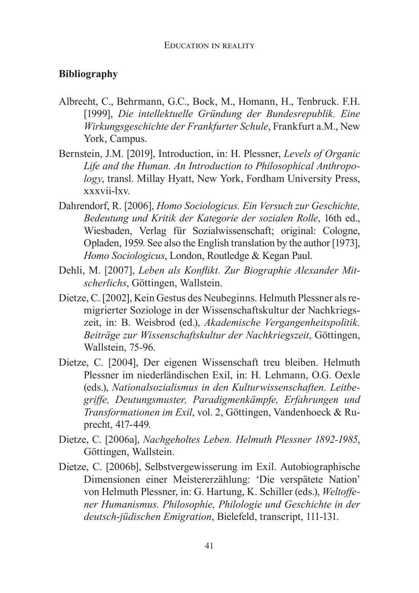## **Bibliography**

- Albrecht, C., Behrmann, G.C., Bock, M., Homann, H., Tenbruck. F.H. >@ *Die intellektuelle Gründung der Bundesrepublik. Eine Wirkungsgeschichte der Frankfurter Schule*, Frankfurt a.M., New York, Campus.
- Bernstein, J.M. [2019], Introduction, in: H. Plessner, Levels of Organic *Life and the Human. An Introduction to Philosophical Anthropology*, transl. Millay Hyatt, New York, Fordham University Press, xxxvii-lxv.
- Dahrendorf, R. [2006], *Homo Sociologicus. Ein Versuch zur Geschichte*, *Bedeutung und Kritik der Kategorie der sozialen Rolle*, 16th ed., Wiesbaden, Verlag für Sozialwissenschaft; original: Cologne, Opladen, 1959. See also the English translation by the author [1973]. *Homo Sociologicus*, London, Routledge & Kegan Paul.
- Dehli, M. [2007], Leben als Konflikt. Zur Biographie Alexander Mit $scherlichs$ , Göttingen, Wallstein.
- Dietze, C. [2002], Kein Gestus des Neubeginns. Helmuth Plessner als remigrierter Soziologe in der Wissenschaftskultur der Nachkriegszeit, in: B. Weisbrod (ed.), Akademische Vergangenheitspolitik. Beiträge zur Wissenschaftskultur der Nachkriegszeit, Göttingen, Wallstein, 75-96.
- Dietze, C. [2004], Der eigenen Wissenschaft treu bleiben. Helmuth Plessner im niederländischen Exil, in: H. Lehmann, O.G. Oexle (eds.), Nationalsozialismus in den Kulturwissenschaften. Leitbegriffe, Deutungsmuster, Paradigmenkämpfe, Erfahrungen und *Transformationen im Exil*, vol. 2, Göttingen, Vandenhoeck & Ruprecht, 417-449.
- Dietze, C. [2006a], Nachgeholtes Leben. Helmuth Plessner 1892-1985, Göttingen, Wallstein.
- Dietze, C. [2006b], Selbstvergewisserung im Exil. Autobiographische Dimensionen einer Meistererzählung: 'Die verspätete Nation' von Helmuth Plessner, in: G. Hartung, K. Schiller (eds.), Weltoffe*ner Humanismus. Philosophie, Philologie und Geschichte in der deutsch-jüdischen Emigration*, Bielefeld, transcript, 111-131.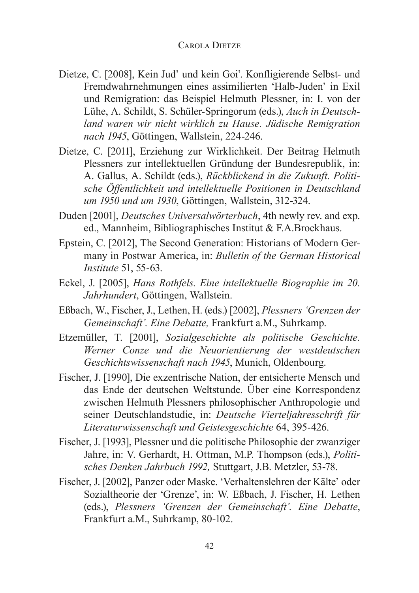- Dietze, C. [2008], Kein Jud' und kein Goi'. Konfligierende Selbst- und Fremdwahrnehmungen eines assimilierten 'Halb-Juden' in Exil und Remigration: das Beispiel Helmuth Plessner, in: I. von der Lühe, A. Schildt, S. Schüler-Springorum (eds.), *Auch in Deutschland waren wir nicht wirklich zu Hause. Jüdische Remigration*  nach 1945, Göttingen, Wallstein, 224-246.
- Dietze, C. [2011], Erziehung zur Wirklichkeit. Der Beitrag Helmuth Plessners zur intellektuellen Gründung der Bundesrepublik, in: A. Gallus, A. Schildt (eds.), Rückblickend in die Zukunft. Politi*sche Öffentlichkeit und intellektuelle Positionen in Deutschland um 1950 und um 1930*, Göttingen, Wallstein, 312-324.
- Duden [2001], *Deutsches Universalwörterbuch*, 4th newly rev. and exp. ed., Mannheim, Bibliographisches Institut & F.A.Brockhaus.
- Epstein, C. [2012], The Second Generation: Historians of Modern Germany in Postwar America, in: Bulletin of the German Historical *Institute* 51, 55-63.
- Eckel, J. [2005], *Hans Rothfels. Eine intellektuelle Biographie im 20. Jahrhundert*, Göttingen, Wallstein.
- Eßbach, W., Fischer, J., Lethen, H. (eds.) [2002], Plessners 'Grenzen der *Gemeinschaft'. Eine Debatte, Frankfurt a.M., Suhrkamp.*
- Etzemüller, T. [2001], Sozialgeschichte als politische Geschichte. *Werner Conze und die Neuorientierung der westdeutschen Geschichtswissenschaft nach 1945*, Munich, Oldenbourg.
- Fischer, J. [1990], Die exzentrische Nation, der entsicherte Mensch und das Ende der deutschen Weltstunde. Über eine Korrespondenz zwischen Helmuth Plessners philosophischer Anthropologie und seiner Deutschlandstudie, in: *Deutsche Vierteljahresschrift für Literaturwissenschaft und Geistesgeschichte* 64, 395-426.
- Fischer, J. [1993], Plessner und die politische Philosophie der zwanziger Jahre, in: V. Gerhardt, H. Ottman, M.P. Thompson (eds.), *Politi*sches Denken Jahrbuch 1992, Stuttgart, J.B. Metzler, 53-78.
- Fischer, J. [2002], Panzer oder Maske. 'Verhaltenslehren der Kälte' oder Sozialtheorie der 'Grenze', in: W. Eßbach, J. Fischer, H. Lethen (eds.), Plessners 'Grenzen der Gemeinschaft'. Eine Debatte, Frankfurt a.M., Suhrkamp, 80-102.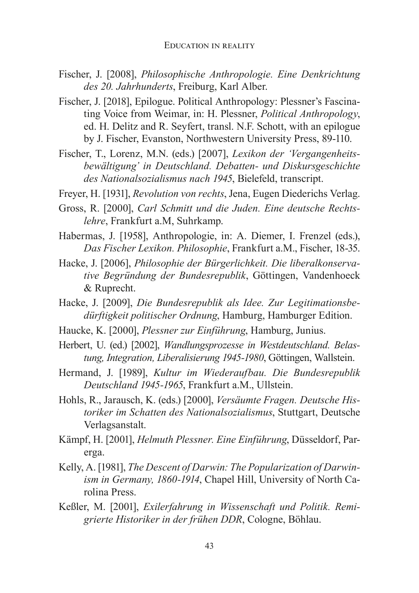- Fischer, J. [2008], *Philosophische Anthropologie. Eine Denkrichtung des 20. Jahrhunderts*, Freiburg, Karl Alber.
- Fischer, J. [2018], Epilogue. Political Anthropology: Plessner's Fascinating Voice from Weimar, in: H. Plessner, *Political Anthropology*, ed. H. Delitz and R. Seyfert, transl. N.F. Schott, with an epilogue by J. Fischer, Evanston, Northwestern University Press, 89-110.
- Fischer, T., Lorenz, M.N. (eds.) [2007], *Lexikon der 'Vergangenheitsbewältigung' in Deutschland. Debatten- und Diskursgeschichte*  des Nationalsozialismus nach 1945, Bielefeld, transcript.
- Freyer, H. [1931], *Revolution von rechts*, Jena, Eugen Diederichs Verlag.
- Gross, R. [2000], Carl Schmitt und die Juden. Eine deutsche Rechts*lehre*, Frankfurt a.M, Suhrkamp.
- Habermas, J. [1958], Anthropologie, in: A. Diemer, I. Frenzel (eds.), Das Fischer Lexikon. Philosophie, Frankfurt a.M., Fischer, 18-35.
- Hacke, J. [2006], *Philosophie der Bürgerlichkeit. Die liberalkonservative Begründung der Bundesrepublik*, Göttingen, Vandenhoeck & Ruprecht.
- Hacke, J. [2009], *Die Bundesrepublik als Idee. Zur Legitimationsbedürftigkeit politischer Ordnung*, Hamburg, Hamburger Edition.
- Haucke, K. [2000], *Plessner zur Einführung*, Hamburg, Junius.
- Herbert, U. (ed.) [2002], *Wandlungsprozesse in Westdeutschland. Belastung, Integration, Liberalisierung 1945-1980*, Göttingen, Wallstein.
- Hermand, J. [1989], *Kultur im Wiederaufbau. Die Bundesrepublik Deutschland 1945-1965*, Frankfurt a.M., Ullstein.
- Hohls, R., Jarausch, K. (eds.) [2000], *Versäumte Fragen. Deutsche Historiker im Schatten des Nationalsozialismus*, Stuttgart, Deutsche Verlagsanstalt.
- Kämpf, H. [2001], *Helmuth Plessner. Eine Einführung*, Düsseldorf, Parerga.
- Kelly, A. [1981], *The Descent of Darwin: The Popularization of Darwinism in Germany, 1860-1914*, Chapel Hill, University of North Carolina Press.
- Keßler, M. [2001], *Exilerfahrung in Wissenschaft und Politik. Remi*grierte Historiker in der frühen DDR, Cologne, Böhlau.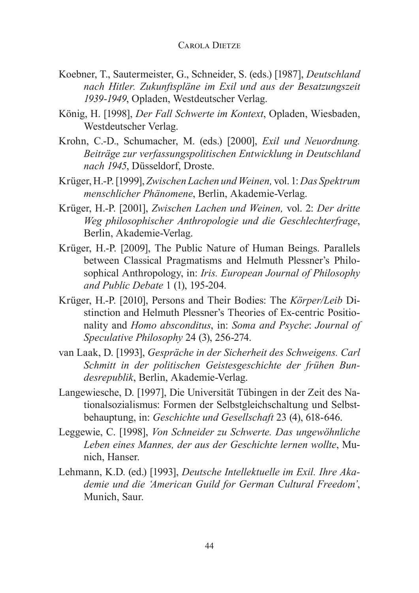- Koebner, T., Sautermeister, G., Schneider, S. (eds.) [1987], *Deutschland* nach Hitler. Zukunftspläne im Exil und aus der Besatzungszeit 1939-1949, Opladen, Westdeutscher Verlag.
- König, H. [1998], *Der Fall Schwerte im Kontext*, Opladen, Wiesbaden, Westdeutscher Verlag.
- Krohn, C.-D., Schumacher, M. (eds.) [2000], *Exil und Neuordnung*. *Beiträge zur verfassungspolitischen Entwicklung in Deutschland*  nach 1945, Düsseldorf, Droste.
- Krüger, H.-P. [1999], Zwischen Lachen und Weinen, vol. 1: Das Spektrum *menschlicher Phänomene*, Berlin, Akademie-Verlag.
- Krüger, H.-P. [2001], Zwischen Lachen und Weinen, vol. 2: Der dritte *Weg philosophischer Anthropologie und die Geschlechterfrage*, Berlin, Akademie-Verlag.
- Krüger, H.-P. [2009], The Public Nature of Human Beings. Parallels between Classical Pragmatisms and Helmuth Plessner's Philosophical Anthropology, in: *Iris. European Journal of Philosophy and Public Debate*
- Krüger, H.-P. [2010], Persons and Their Bodies: The Körper/Leib Distinction and Helmuth Plessner's Theories of Ex-centric Positionality and *Homo absconditus*, in: *Soma and Psyche*: *Journal of Speculative Philosophy*
- van Laak, D. [1993]. *Gespräche in der Sicherheit des Schweigens. Carl Schmitt in der politischen Geistesgeschichte der frühen Bundesrepublik*, Berlin, Akademie-Verlag.
- Langewiesche, D. [1997], Die Universität Tübingen in der Zeit des Nationalsozialismus: Formen der Selbstgleichschaltung und Selbstbehauptung, in: *Geschichte und Gesellschaft*
- Leggewie, C. [1998], Von Schneider zu Schwerte. Das ungewöhnliche *Leben eines Mannes, der aus der Geschichte lernen wollte*, Munich, Hanser.
- Lehmann, K.D. (ed.) [1993], *Deutsche Intellektuelle im Exil. Ihre Akademie und die 'American Guild for German Cultural Freedom'*, Munich, Saur.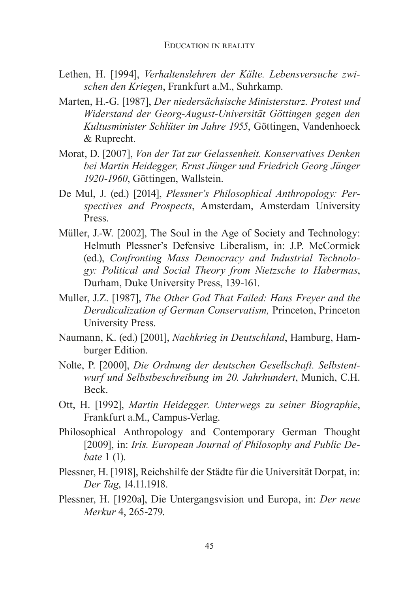- Lethen, H. [1994], Verhaltenslehren der Kälte. Lebensversuche zwi*schen den Kriegen*, Frankfurt a.M., Suhrkamp.
- Marten, H.-G. [1987], *Der niedersächsische Ministersturz. Protest und Widerstand der Georg-August-Universität Göttingen gegen den*  Kultusminister Schlüter im Jahre 1955, Göttingen, Vandenhoeck & Ruprecht.
- Morat, D. [2007], *Von der Tat zur Gelassenheit. Konservatives Denken bei Martin Heidegger, Ernst Jünger und Friedrich Georg Jünger 1920-1960*, Göttingen, Wallstein.
- De Mul, J. (ed.) [2014], *Plessner's Philosophical Anthropology: Perspectives and Prospects*, Amsterdam, Amsterdam University Press.
- Müller, J.-W. [2002], The Soul in the Age of Society and Technology: Helmuth Plessner's Defensive Liberalism, in: J.P. McCormick (ed.), Confronting Mass Democracy and Industrial Technolo*gy: Political and Social Theory from Nietzsche to Habermas*, Durham, Duke University Press, 139-161.
- Muller, J.Z. [1987], The Other God That Failed: Hans Freyer and the *Deradicalization of German Conservatism, Princeton, Princeton* University Press.
- Naumann, K. (ed.) [2001], *Nachkrieg in Deutschland*, Hamburg, Hamburger Edition.
- Nolte, P. [2000], *Die Ordnung der deutschen Gesellschaft. Selbstentwurf und Selbstbeschreibung im 20. Jahrhundert*, Munich, C.H. Beck.
- Ott, H. [1992], *Martin Heidegger. Unterwegs zu seiner Biographie*, Frankfurt a.M., Campus-Verlag.
- Philosophical Anthropology and Contemporary German Thought [2009], in: *Iris. European Journal of Philosophy and Public Debate* 1 (1).
- Plessner, H. [1918], Reichshilfe der Städte für die Universität Dorpat, in: *Der Tag*, 14.11.1918.
- Plessner, H. [1920a], Die Untergangsvision und Europa, in: Der neue *Merkur* 4, 265-279.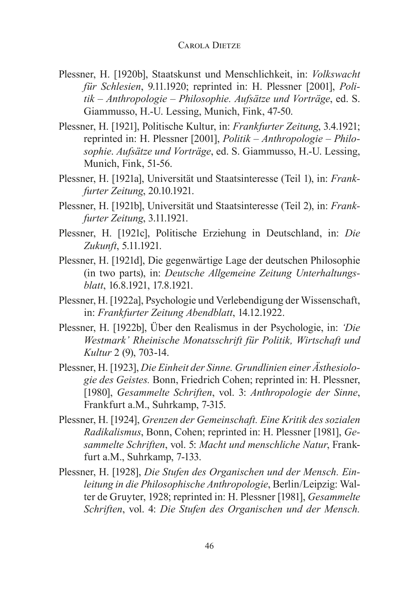- Plessner, H. [1920b], Staatskunst und Menschlichkeit, in: *Volkswacht für Schlesien*, 9.11.1920; reprinted in: H. Plessner [2001], *Politik – Anthropologie – Philosophie. Aufsätze und Vorträge*, ed. S. Giammusso, H.-U. Lessing, Munich, Fink, 47-50.
- Plessner, H. [1921], Politische Kultur, in: Frankfurter Zeitung, 3.4.1921; reprinted in: H. Plessner [2001], *Politik – Anthropologie – Philosophie. Aufsätze und Vorträge*, ed. S. Giammusso, H.-U. Lessing, Munich, Fink, 51-56.
- Plessner, H. [1921a], Universität und Staatsinteresse (Teil 1), in: Frank*furter Zeitung*, 20.10.1921.
- Plessner, H. [1921b], Universität und Staatsinteresse (Teil 2), in: *Frankfurter Zeitung*, 3.11.1921.
- Plessner, H. [1921c], Politische Erziehung in Deutschland, in: Die *Zukunft*, 5.11.1921.
- Plessner, H. [1921d], Die gegenwärtige Lage der deutschen Philosophie (in two parts), in: *Deutsche Allgemeine Zeitung Unterhaltungsblatt*, 16.8.1921, 17.8.1921.
- Plessner, H. [1922a], Psychologie und Verlebendigung der Wissenschaft, in: *Frankfurter Zeitung Abendblatt*, 14.12.1922.
- Plessner, H. [1922b], Über den Realismus in der Psychologie, in: Die *Westmark' Rheinische Monatsschrift für Politik, Wirtschaft und Kultur*
- Plessner, H. [1923], *Die Einheit der Sinne. Grundlinien einer Ästhesiologie des Geistes.* Bonn, Friedrich Cohen; reprinted in: H. Plessner, >@*Gesammelte Schriften*, vol. 3: *Anthropologie der Sinne*, Frankfurt a.M., Suhrkamp, 7-315.
- Plessner, H. [1924], *Grenzen der Gemeinschaft. Eine Kritik des sozialen Radikalismus, Bonn, Cohen; reprinted in: H. Plessner [1981], Gesammelte Schriften, vol. 5: Macht und menschliche Natur, Frank*furt a.M., Suhrkamp, 7-133.
- Plessner, H. [1928], *Die Stufen des Organischen und der Mensch. Einleitung in die Philosophische Anthropologie*, Berlin/Leipzig: Walter de Gruvter, 1928; reprinted in: H. Plessner [1981], *Gesammelte Schriften*, vol. 4: *Die Stufen des Organischen und der Mensch.*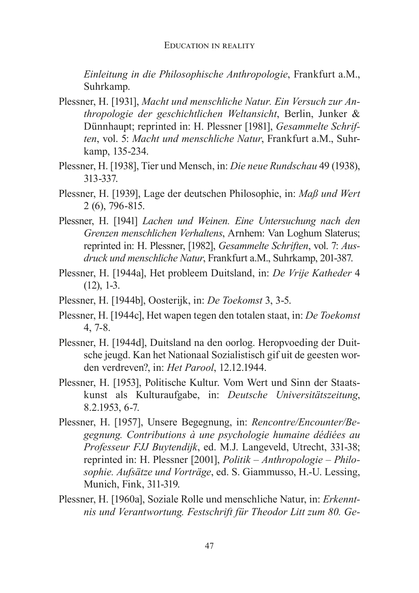Einleitung in die Philosophische Anthropologie, Frankfurt a.M., Suhrkamp.

- Plessner, H. [1931], Macht und menschliche Natur. Ein Versuch zur Anthropologie der geschichtlichen Weltansicht, Berlin, Junker & Dünnhaupt; reprinted in: H. Plessner [1981], Gesammelte Schriften, vol. 5: Macht und menschliche Natur, Frankfurt a.M., Suhrkamp, 135-234.
- Plessner, H. [1938], Tier und Mensch, in: Die neue Rundschau 49 (1938), 313-337.
- Plessner, H. [1939], Lage der deutschen Philosophie, in: Maß und Wert 2 (6), 796-815.
- Plessner, H. [1941] Lachen und Weinen. Eine Untersuchung nach den Grenzen menschlichen Verhaltens, Arnhem: Van Loghum Slaterus; reprinted in: H. Plessner, [1982], *Gesammelte Schriften*, vol. 7: Ausdruck und menschliche Natur, Frankfurt a.M., Suhrkamp, 201-387.
- Plessner, H. [1944a], Het probleem Duitsland, in: De Vrije Katheder 4  $(12), 1-3.$
- Plessner, H. [1944b], Oosterijk, in: De Toekomst 3, 3-5.
- Plessner, H. [1944c], Het wapen tegen den totalen staat, in: De Toekomst  $4, 7-8.$
- Plessner, H. [1944d], Duitsland na den oorlog. Heropvoeding der Duitsche jeugd. Kan het Nationaal Sozialistisch gif uit de geesten worden verdreven?, in: Het Parool, 12.12.1944.
- Plessner, H. [1953], Politische Kultur. Vom Wert und Sinn der Staatskunst als Kulturaufgabe, in: Deutsche Universitätszeitung, 8.2.1953, 6-7.
- Plessner, H. [1957], Unsere Begegnung, in: Rencontre/Encounter/Begegnung. Contributions à une psychologie humaine dédiées au Professeur FJJ Buytendijk, ed. M.J. Langeveld, Utrecht, 331-38; reprinted in: H. Plessner [2001], *Politik – Anthropologie – Philo*sophie. Aufsätze und Vorträge, ed. S. Giammusso, H.-U. Lessing, Munich, Fink, 311-319.
- Plessner, H. [1960a], Soziale Rolle und menschliche Natur, in: Erkenntnis und Verantwortung. Festschrift für Theodor Litt zum 80. Ge-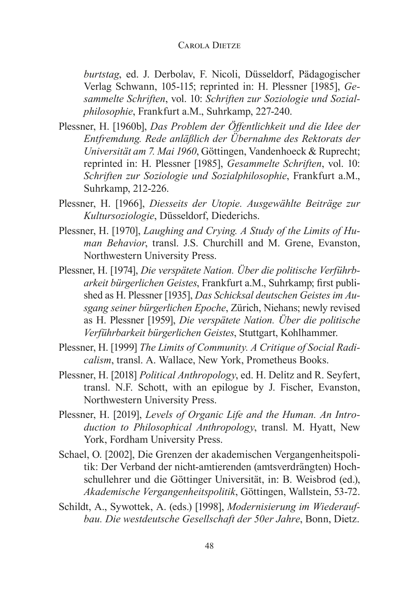*burtstag*, ed. J. Derbolav, F. Nicoli, Düsseldorf, Pädagogischer Verlag Schwann, 105-115; reprinted in: H. Plessner [1985], Gesammelte Schriften, vol. 10: Schriften zur Soziologie und Sozial*philosophie*, Frankfurt a.M., Suhrkamp, 227-240.

- Plessner, H. [1960b], Das Problem der Öffentlichkeit und die Idee der Entfremdung. Rede anläßlich der Übernahme des Rektorats der Universität am 7. Mai 1960, Göttingen, Vandenhoeck & Ruprecht; reprinted in: H. Plessner [1985], Gesammelte Schriften, vol. 10: Schriften zur Soziologie und Sozialphilosophie, Frankfurt a.M., Suhrkamp, 212-226.
- Plessner, H. [1966], Diesseits der Utopie. Ausgewählte Beiträge zur Kultursoziologie, Düsseldorf, Diederichs.
- Plessner, H. [1970], Laughing and Crying. A Study of the Limits of Human Behavior, transl. J.S. Churchill and M. Grene, Evanston, Northwestern University Press.
- Plessner, H. [1974], Die verspätete Nation. Über die politische Verführbarkeit bürgerlichen Geistes, Frankfurt a.M., Suhrkamp; first published as H. Plessner [1935], Das Schicksal deutschen Geistes im Ausgang seiner bürgerlichen Epoche, Zürich, Niehans; newly revised as H. Plessner [1959], Die verspätete Nation. Über die politische Verführbarkeit bürgerlichen Geistes, Stuttgart, Kohlhammer.
- Plessner, H. [1999] The Limits of Community. A Critique of Social Radicalism, transl. A. Wallace, New York, Prometheus Books.
- Plessner, H. [2018] *Political Anthropology*, ed. H. Delitz and R. Seyfert, transl. N.F. Schott, with an epilogue by J. Fischer, Evanston, Northwestern University Press.
- Plessner, H. [2019], Levels of Organic Life and the Human. An Introduction to Philosophical Anthropology, transl. M. Hyatt, New York, Fordham University Press.
- Schael, O. [2002]. Die Grenzen der akademischen Vergangenheitspolitik: Der Verband der nicht-amtierenden (amtsverdrängten) Hochschullehrer und die Göttinger Universität, in: B. Weisbrod (ed.), Akademische Vergangenheitspolitik, Göttingen, Wallstein, 53-72.
- Schildt, A., Sywottek, A. (eds.) [1998], Modernisierung im Wiederaufbau. Die westdeutsche Gesellschaft der 50er Jahre, Bonn, Dietz.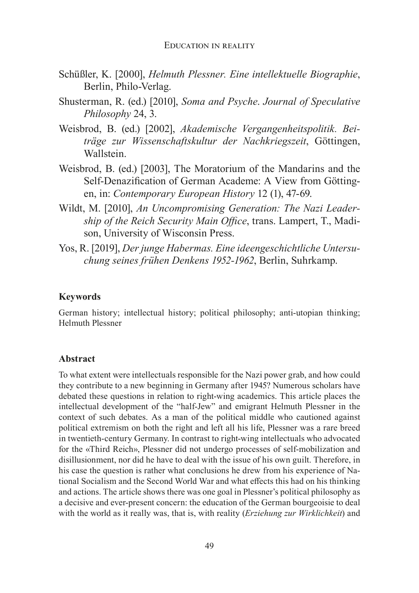- Schüßler, K. [2000], Helmuth Plessner. Eine intellektuelle Biographie, Berlin, Philo-Verlag.
- Shusterman, R. (ed.) [2010], Soma and Psyche. Journal of Speculative Philosophy 24, 3.
- Weisbrod, B. (ed.) [2002], Akademische Vergangenheitspolitik. Beiträge zur Wissenschaftskultur der Nachkriegszeit, Göttingen, Wallstein.
- Weisbrod, B. (ed.) [2003]. The Moratorium of the Mandarins and the Self-Denazification of German Academe: A View from Göttingen, in: Contemporary European History 12 (1), 47-69.
- Wildt, M. [2010], An Uncompromising Generation: The Nazi Leadership of the Reich Security Main Office, trans. Lampert, T., Madison, University of Wisconsin Press.
- Yos, R. [2019], Der junge Habermas. Eine ideengeschichtliche Untersuchung seines frühen Denkens 1952-1962, Berlin, Suhrkamp.

#### **Keywords**

German history; intellectual history; political philosophy; anti-utopian thinking; **Helmuth Plessner** 

#### **Abstract**

To what extent were intellectuals responsible for the Nazi power grab, and how could they contribute to a new beginning in Germany after 1945? Numerous scholars have debated these questions in relation to right-wing academics. This article places the intellectual development of the "half-Jew" and emigrant Helmuth Plessner in the context of such debates. As a man of the political middle who cautioned against political extremism on both the right and left all his life, Plessner was a rare breed in twentieth-century Germany. In contrast to right-wing intellectuals who advocated for the «Third Reich», Plessner did not undergo processes of self-mobilization and disillusionment, nor did he have to deal with the issue of his own guilt. Therefore, in his case the question is rather what conclusions he drew from his experience of National Socialism and the Second World War and what effects this had on his thinking and actions. The article shows there was one goal in Plessner's political philosophy as a decisive and ever-present concern: the education of the German bourgeoisie to deal with the world as it really was, that is, with reality (Erziehung zur Wirklichkeit) and